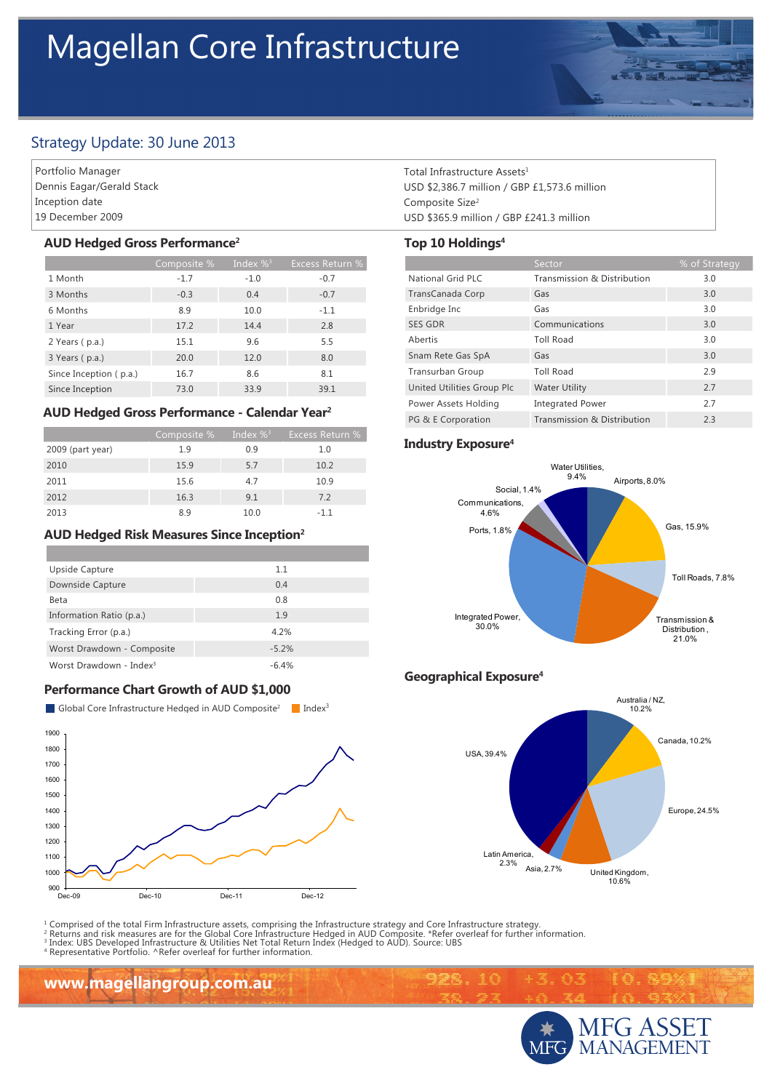# Magellan Core Infrastructure



## Strategy Update: 30 June 2013

Portfolio Manager Dennis Eagar/Gerald Stack Inception date 19 December 2009

#### **AUD Hedged Gross Performance2**

|                        | Composite % | Index $\%$ <sup>3</sup> | <b>Excess Return %</b> |
|------------------------|-------------|-------------------------|------------------------|
| 1 Month                | $-1.7$      | $-1.0$                  | $-0.7$                 |
| 3 Months               | $-0.3$      | 0.4                     | $-0.7$                 |
| 6 Months               | 8.9         | 10.0                    | $-1.1$                 |
| 1 Year                 | 17.2        | 14.4                    | 2.8                    |
| 2 Years (p.a.)         | 15.1        | 9.6                     | 5.5                    |
| 3 Years (p.a.)         | 20.0        | 12.0                    | 8.0                    |
| Since Inception (p.a.) | 16.7        | 8.6                     | 8.1                    |
| Since Inception        | 73.0        | 33.9                    | 39.1                   |

### **AUD Hedged Gross Performance - Calendar Year2**

|                  | Composite % | Index $\%$ <sup>3</sup> | Excess Return % |
|------------------|-------------|-------------------------|-----------------|
| 2009 (part year) | 1.9         | 0.9                     | 1.0             |
| 2010             | 15.9        | 5.7                     | 10.2            |
| 2011             | 15.6        | 4.7                     | 10.9            |
| 2012             | 16.3        | 9.1                     | 7.2             |
| 2013             | 89          | 10.0                    | $-11$           |

### **AUD Hedged Risk Measures Since Inception2**

| Upside Capture                      | 1.1     |
|-------------------------------------|---------|
| Downside Capture                    | 0.4     |
| Beta                                | 0.8     |
| Information Ratio (p.a.)            | 1.9     |
| Tracking Error (p.a.)               | 4.2%    |
| Worst Drawdown - Composite          | $-5.2%$ |
| Worst Drawdown - Index <sup>3</sup> | $-6.4%$ |

### **Performance Chart Growth of AUD \$1,000**

Global Core Infrastructure Hedged in AUD Composite<sup>2</sup> Index<sup>3</sup>



<sup>1</sup> Comprised of the total Firm Infrastructure assets, comprising the Infrastructure strategy and Core Infrastructure strategy.<br><sup>2</sup> Returns and risk measures are for the Global Core Infrastructure Hedged in AUD Composite.

4 Representative Portfolio. ^Refer overleaf for further information.

**www.magellangroup.com.au**

Total Infrastructure Assets<sup>1</sup> USD \$2,386.7 million / GBP £1,573.6 million Composite Size2 USD \$365.9 million / GBP £241.3 million

#### **Top 10 Holdings4**

|                            | Sector                      | % of Strategy |
|----------------------------|-----------------------------|---------------|
| National Grid PLC          | Transmission & Distribution | 3.0           |
| TransCanada Corp           | Gas                         | 3.0           |
| Enbridge Inc               | Gas                         | 3.0           |
| <b>SES GDR</b>             | Communications              | 3.0           |
| Abertis                    | <b>Toll Road</b>            | 3.0           |
| Snam Rete Gas SpA          | Gas                         | 3.0           |
| Transurban Group           | <b>Toll Road</b>            | 2.9           |
| United Utilities Group Plc | <b>Water Utility</b>        | 2.7           |
| Power Assets Holding       | <b>Integrated Power</b>     | 2.7           |
| PG & E Corporation         | Transmission & Distribution | 2.3           |

#### **Industry Exposure4**



### **Geographical Exposure4**

10

992.





品回